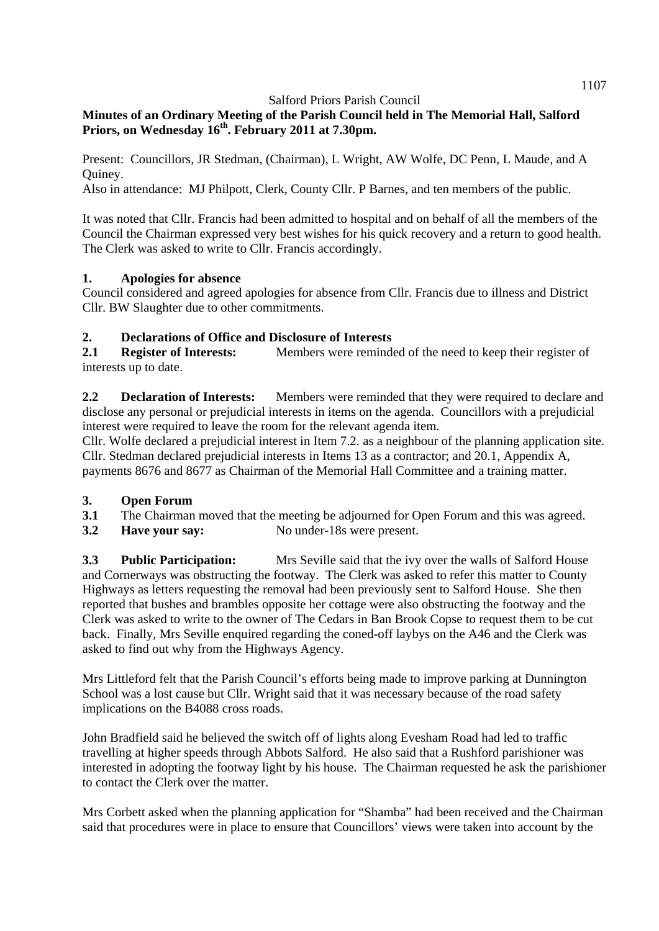# **Minutes of an Ordinary Meeting of the Parish Council held in The Memorial Hall, Salford Priors, on Wednesday 16th. February 2011 at 7.30pm.**

Present: Councillors, JR Stedman, (Chairman), L Wright, AW Wolfe, DC Penn, L Maude, and A Quiney.

Also in attendance: MJ Philpott, Clerk, County Cllr. P Barnes, and ten members of the public.

It was noted that Cllr. Francis had been admitted to hospital and on behalf of all the members of the Council the Chairman expressed very best wishes for his quick recovery and a return to good health. The Clerk was asked to write to Cllr. Francis accordingly.

### **1. Apologies for absence**

Council considered and agreed apologies for absence from Cllr. Francis due to illness and District Cllr. BW Slaughter due to other commitments.

## **2. Declarations of Office and Disclosure of Interests**

**2.1 Register of Interests:** Members were reminded of the need to keep their register of interests up to date.

**2.2 Declaration of Interests:** Members were reminded that they were required to declare and disclose any personal or prejudicial interests in items on the agenda. Councillors with a prejudicial interest were required to leave the room for the relevant agenda item.

Cllr. Wolfe declared a prejudicial interest in Item 7.2. as a neighbour of the planning application site. Cllr. Stedman declared prejudicial interests in Items 13 as a contractor; and 20.1, Appendix A, payments 8676 and 8677 as Chairman of the Memorial Hall Committee and a training matter.

### **3. Open Forum**

- **3.1** The Chairman moved that the meeting be adjourned for Open Forum and this was agreed.
- **3.2 Have your say:** No under-18s were present.

**3.3 Public Participation:** Mrs Seville said that the ivy over the walls of Salford House and Cornerways was obstructing the footway. The Clerk was asked to refer this matter to County Highways as letters requesting the removal had been previously sent to Salford House. She then reported that bushes and brambles opposite her cottage were also obstructing the footway and the Clerk was asked to write to the owner of The Cedars in Ban Brook Copse to request them to be cut back. Finally, Mrs Seville enquired regarding the coned-off laybys on the A46 and the Clerk was asked to find out why from the Highways Agency.

Mrs Littleford felt that the Parish Council's efforts being made to improve parking at Dunnington School was a lost cause but Cllr. Wright said that it was necessary because of the road safety implications on the B4088 cross roads.

John Bradfield said he believed the switch off of lights along Evesham Road had led to traffic travelling at higher speeds through Abbots Salford. He also said that a Rushford parishioner was interested in adopting the footway light by his house. The Chairman requested he ask the parishioner to contact the Clerk over the matter.

Mrs Corbett asked when the planning application for "Shamba" had been received and the Chairman said that procedures were in place to ensure that Councillors' views were taken into account by the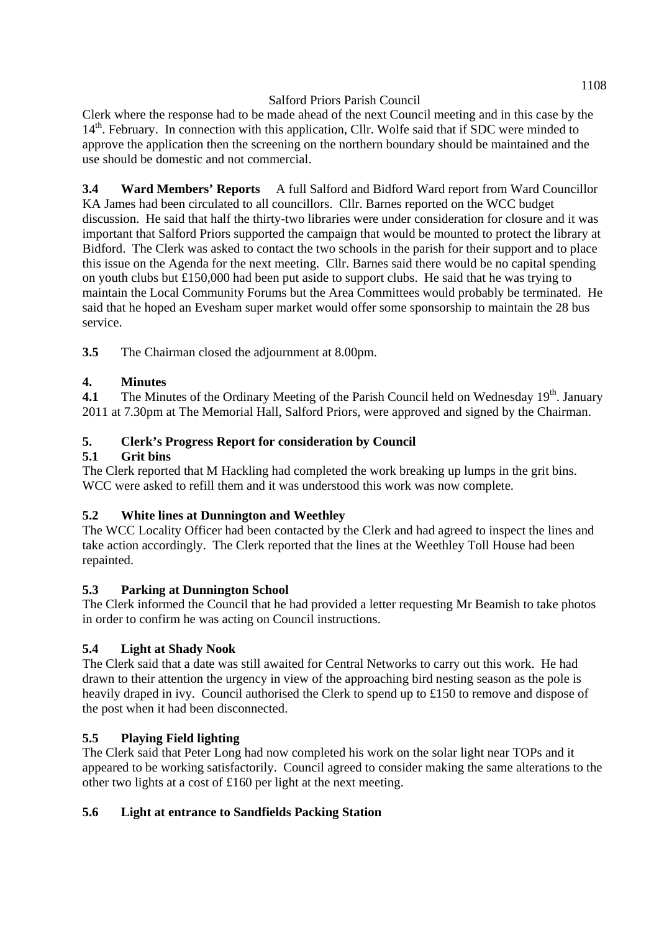Clerk where the response had to be made ahead of the next Council meeting and in this case by the 14<sup>th</sup>. February. In connection with this application, Cllr. Wolfe said that if SDC were minded to approve the application then the screening on the northern boundary should be maintained and the use should be domestic and not commercial.

**3.4 Ward Members' Reports** A full Salford and Bidford Ward report from Ward Councillor KA James had been circulated to all councillors. Cllr. Barnes reported on the WCC budget discussion. He said that half the thirty-two libraries were under consideration for closure and it was important that Salford Priors supported the campaign that would be mounted to protect the library at Bidford. The Clerk was asked to contact the two schools in the parish for their support and to place this issue on the Agenda for the next meeting. Cllr. Barnes said there would be no capital spending on youth clubs but £150,000 had been put aside to support clubs. He said that he was trying to maintain the Local Community Forums but the Area Committees would probably be terminated. He said that he hoped an Evesham super market would offer some sponsorship to maintain the 28 bus service.

**3.5** The Chairman closed the adjournment at 8.00pm.

## **4. Minutes**

**4.1** The Minutes of the Ordinary Meeting of the Parish Council held on Wednesday 19<sup>th</sup>. January 2011 at 7.30pm at The Memorial Hall, Salford Priors, were approved and signed by the Chairman.

## **5. Clerk's Progress Report for consideration by Council**

### **5.1 Grit bins**

The Clerk reported that M Hackling had completed the work breaking up lumps in the grit bins. WCC were asked to refill them and it was understood this work was now complete.

## **5.2 White lines at Dunnington and Weethley**

The WCC Locality Officer had been contacted by the Clerk and had agreed to inspect the lines and take action accordingly. The Clerk reported that the lines at the Weethley Toll House had been repainted.

### **5.3 Parking at Dunnington School**

The Clerk informed the Council that he had provided a letter requesting Mr Beamish to take photos in order to confirm he was acting on Council instructions.

## **5.4 Light at Shady Nook**

The Clerk said that a date was still awaited for Central Networks to carry out this work. He had drawn to their attention the urgency in view of the approaching bird nesting season as the pole is heavily draped in ivy. Council authorised the Clerk to spend up to £150 to remove and dispose of the post when it had been disconnected.

### **5.5 Playing Field lighting**

The Clerk said that Peter Long had now completed his work on the solar light near TOPs and it appeared to be working satisfactorily. Council agreed to consider making the same alterations to the other two lights at a cost of £160 per light at the next meeting.

### **5.6 Light at entrance to Sandfields Packing Station**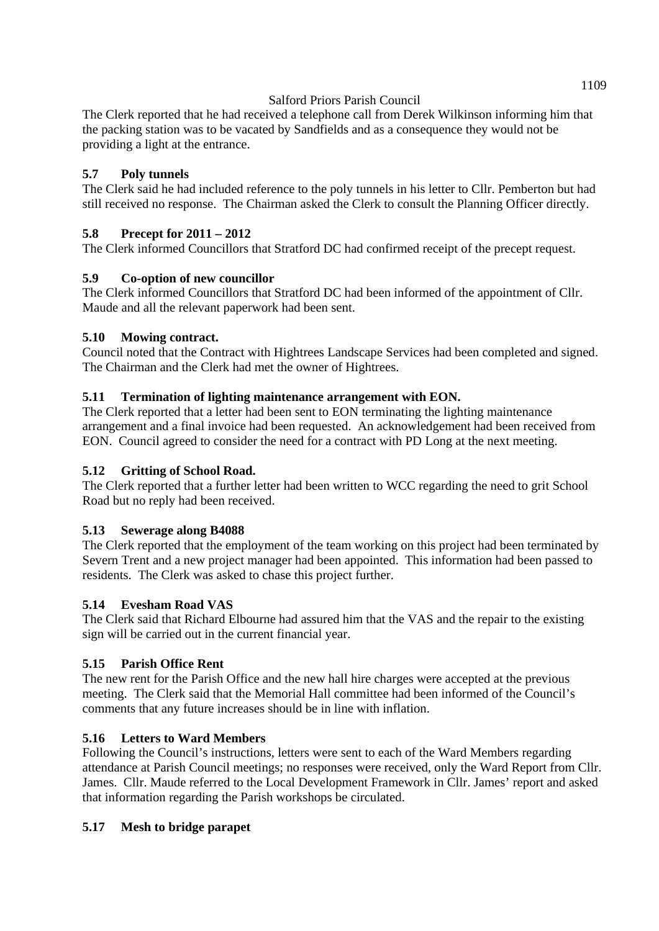The Clerk reported that he had received a telephone call from Derek Wilkinson informing him that the packing station was to be vacated by Sandfields and as a consequence they would not be providing a light at the entrance.

### **5.7 Poly tunnels**

The Clerk said he had included reference to the poly tunnels in his letter to Cllr. Pemberton but had still received no response. The Chairman asked the Clerk to consult the Planning Officer directly.

## **5.8 Precept for 2011 – 2012**

The Clerk informed Councillors that Stratford DC had confirmed receipt of the precept request.

## **5.9 Co-option of new councillor**

The Clerk informed Councillors that Stratford DC had been informed of the appointment of Cllr. Maude and all the relevant paperwork had been sent.

### **5.10 Mowing contract.**

Council noted that the Contract with Hightrees Landscape Services had been completed and signed. The Chairman and the Clerk had met the owner of Hightrees.

## **5.11 Termination of lighting maintenance arrangement with EON.**

The Clerk reported that a letter had been sent to EON terminating the lighting maintenance arrangement and a final invoice had been requested. An acknowledgement had been received from EON. Council agreed to consider the need for a contract with PD Long at the next meeting.

### **5.12 Gritting of School Road.**

The Clerk reported that a further letter had been written to WCC regarding the need to grit School Road but no reply had been received.

### **5.13 Sewerage along B4088**

The Clerk reported that the employment of the team working on this project had been terminated by Severn Trent and a new project manager had been appointed. This information had been passed to residents. The Clerk was asked to chase this project further.

### **5.14 Evesham Road VAS**

The Clerk said that Richard Elbourne had assured him that the VAS and the repair to the existing sign will be carried out in the current financial year.

### **5.15 Parish Office Rent**

The new rent for the Parish Office and the new hall hire charges were accepted at the previous meeting. The Clerk said that the Memorial Hall committee had been informed of the Council's comments that any future increases should be in line with inflation.

### **5.16 Letters to Ward Members**

Following the Council's instructions, letters were sent to each of the Ward Members regarding attendance at Parish Council meetings; no responses were received, only the Ward Report from Cllr. James. Cllr. Maude referred to the Local Development Framework in Cllr. James' report and asked that information regarding the Parish workshops be circulated.

### **5.17 Mesh to bridge parapet**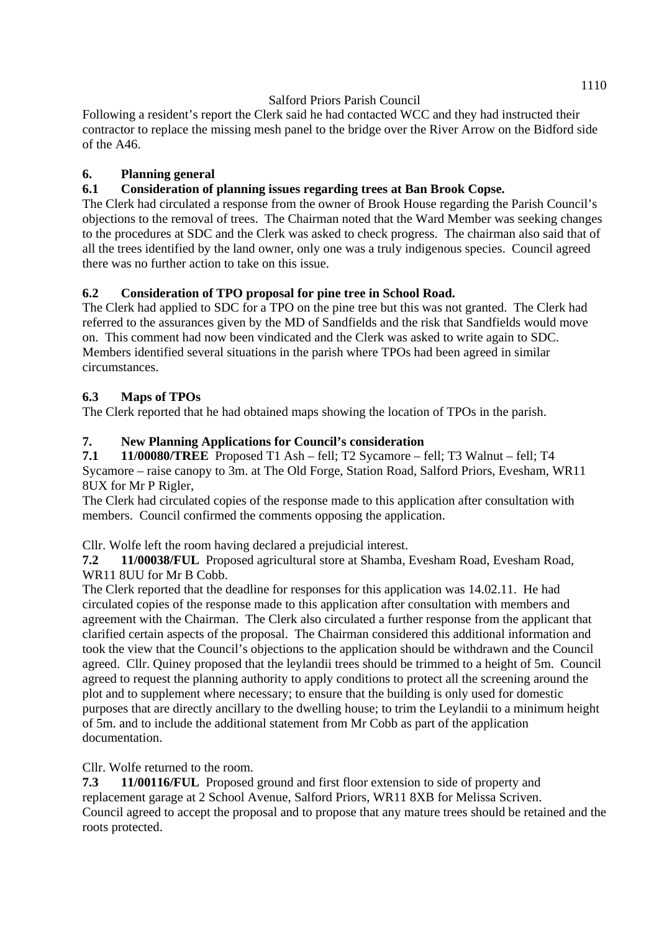Following a resident's report the Clerk said he had contacted WCC and they had instructed their contractor to replace the missing mesh panel to the bridge over the River Arrow on the Bidford side of the A46.

# **6. Planning general**

# **6.1 Consideration of planning issues regarding trees at Ban Brook Copse.**

The Clerk had circulated a response from the owner of Brook House regarding the Parish Council's objections to the removal of trees. The Chairman noted that the Ward Member was seeking changes to the procedures at SDC and the Clerk was asked to check progress. The chairman also said that of all the trees identified by the land owner, only one was a truly indigenous species. Council agreed there was no further action to take on this issue.

## **6.2 Consideration of TPO proposal for pine tree in School Road.**

The Clerk had applied to SDC for a TPO on the pine tree but this was not granted. The Clerk had referred to the assurances given by the MD of Sandfields and the risk that Sandfields would move on. This comment had now been vindicated and the Clerk was asked to write again to SDC. Members identified several situations in the parish where TPOs had been agreed in similar circumstances.

# **6.3 Maps of TPOs**

The Clerk reported that he had obtained maps showing the location of TPOs in the parish.

# **7. New Planning Applications for Council's consideration**

**7.1 11/00080/TREE** Proposed T1 Ash – fell; T2 Sycamore – fell; T3 Walnut – fell; T4 Sycamore – raise canopy to 3m. at The Old Forge, Station Road, Salford Priors, Evesham, WR11 8UX for Mr P Rigler,

The Clerk had circulated copies of the response made to this application after consultation with members. Council confirmed the comments opposing the application.

Cllr. Wolfe left the room having declared a prejudicial interest.

**7.2 11/00038/FUL** Proposed agricultural store at Shamba, Evesham Road, Evesham Road, WR11 8UU for Mr B Cobb.

The Clerk reported that the deadline for responses for this application was 14.02.11. He had circulated copies of the response made to this application after consultation with members and agreement with the Chairman. The Clerk also circulated a further response from the applicant that clarified certain aspects of the proposal. The Chairman considered this additional information and took the view that the Council's objections to the application should be withdrawn and the Council agreed. Cllr. Quiney proposed that the leylandii trees should be trimmed to a height of 5m. Council agreed to request the planning authority to apply conditions to protect all the screening around the plot and to supplement where necessary; to ensure that the building is only used for domestic purposes that are directly ancillary to the dwelling house; to trim the Leylandii to a minimum height of 5m. and to include the additional statement from Mr Cobb as part of the application documentation.

Cllr. Wolfe returned to the room.

**7.3 11/00116/FUL** Proposed ground and first floor extension to side of property and replacement garage at 2 School Avenue, Salford Priors, WR11 8XB for Melissa Scriven. Council agreed to accept the proposal and to propose that any mature trees should be retained and the roots protected.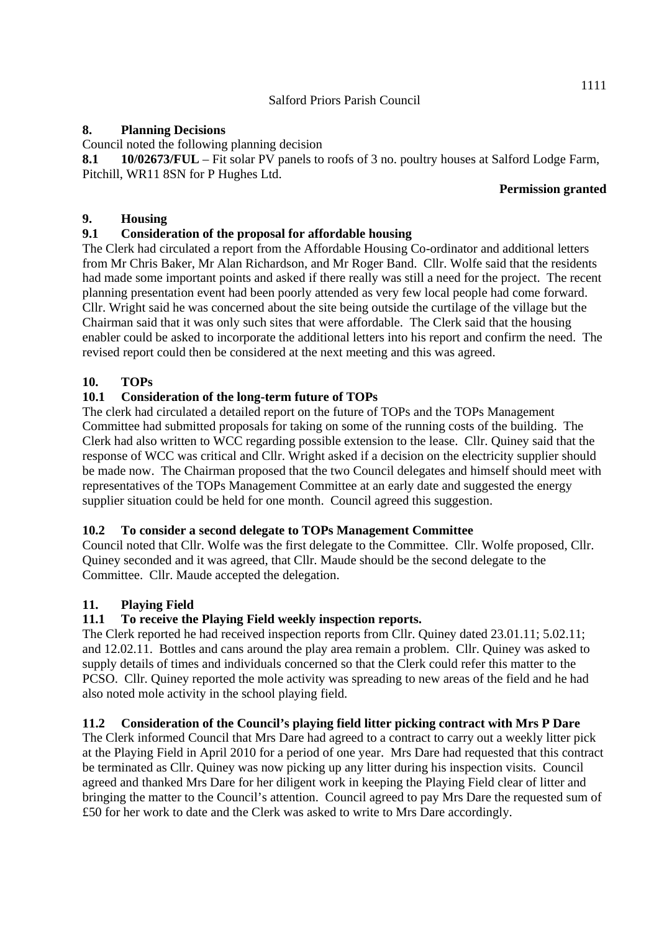### **8. Planning Decisions**

Council noted the following planning decision

**8.1 10/02673/FUL** – Fit solar PV panels to roofs of 3 no. poultry houses at Salford Lodge Farm, Pitchill, WR11 8SN for P Hughes Ltd.

#### **Permission granted**

### **9. Housing**

## **9.1 Consideration of the proposal for affordable housing**

The Clerk had circulated a report from the Affordable Housing Co-ordinator and additional letters from Mr Chris Baker, Mr Alan Richardson, and Mr Roger Band. Cllr. Wolfe said that the residents had made some important points and asked if there really was still a need for the project. The recent planning presentation event had been poorly attended as very few local people had come forward. Cllr. Wright said he was concerned about the site being outside the curtilage of the village but the Chairman said that it was only such sites that were affordable. The Clerk said that the housing enabler could be asked to incorporate the additional letters into his report and confirm the need. The revised report could then be considered at the next meeting and this was agreed.

## **10. TOPs**

## **10.1 Consideration of the long-term future of TOPs**

The clerk had circulated a detailed report on the future of TOPs and the TOPs Management Committee had submitted proposals for taking on some of the running costs of the building. The Clerk had also written to WCC regarding possible extension to the lease. Cllr. Quiney said that the response of WCC was critical and Cllr. Wright asked if a decision on the electricity supplier should be made now. The Chairman proposed that the two Council delegates and himself should meet with representatives of the TOPs Management Committee at an early date and suggested the energy supplier situation could be held for one month. Council agreed this suggestion.

### **10.2 To consider a second delegate to TOPs Management Committee**

Council noted that Cllr. Wolfe was the first delegate to the Committee. Cllr. Wolfe proposed, Cllr. Quiney seconded and it was agreed, that Cllr. Maude should be the second delegate to the Committee. Cllr. Maude accepted the delegation.

### **11. Playing Field**

### **11.1 To receive the Playing Field weekly inspection reports.**

The Clerk reported he had received inspection reports from Cllr. Quiney dated 23.01.11; 5.02.11; and 12.02.11. Bottles and cans around the play area remain a problem. Cllr. Quiney was asked to supply details of times and individuals concerned so that the Clerk could refer this matter to the PCSO. Cllr. Quiney reported the mole activity was spreading to new areas of the field and he had also noted mole activity in the school playing field.

### **11.2 Consideration of the Council's playing field litter picking contract with Mrs P Dare**

The Clerk informed Council that Mrs Dare had agreed to a contract to carry out a weekly litter pick at the Playing Field in April 2010 for a period of one year. Mrs Dare had requested that this contract be terminated as Cllr. Quiney was now picking up any litter during his inspection visits. Council agreed and thanked Mrs Dare for her diligent work in keeping the Playing Field clear of litter and bringing the matter to the Council's attention. Council agreed to pay Mrs Dare the requested sum of £50 for her work to date and the Clerk was asked to write to Mrs Dare accordingly.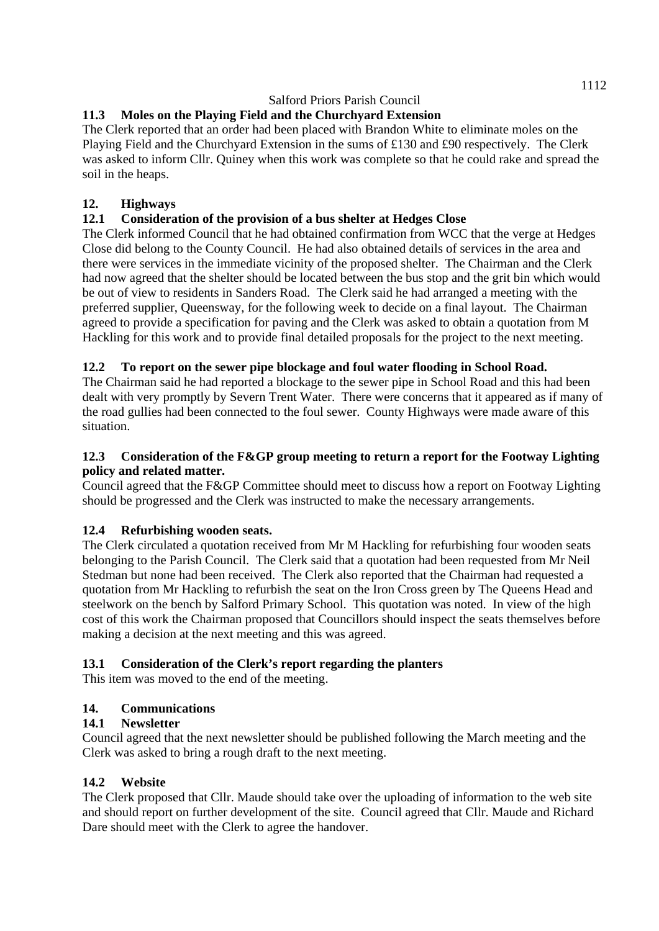# **11.3 Moles on the Playing Field and the Churchyard Extension**

The Clerk reported that an order had been placed with Brandon White to eliminate moles on the Playing Field and the Churchyard Extension in the sums of £130 and £90 respectively. The Clerk was asked to inform Cllr. Quiney when this work was complete so that he could rake and spread the soil in the heaps.

# **12. Highways**

# **12.1 Consideration of the provision of a bus shelter at Hedges Close**

The Clerk informed Council that he had obtained confirmation from WCC that the verge at Hedges Close did belong to the County Council. He had also obtained details of services in the area and there were services in the immediate vicinity of the proposed shelter. The Chairman and the Clerk had now agreed that the shelter should be located between the bus stop and the grit bin which would be out of view to residents in Sanders Road. The Clerk said he had arranged a meeting with the preferred supplier, Queensway, for the following week to decide on a final layout. The Chairman agreed to provide a specification for paving and the Clerk was asked to obtain a quotation from M Hackling for this work and to provide final detailed proposals for the project to the next meeting.

## **12.2 To report on the sewer pipe blockage and foul water flooding in School Road.**

The Chairman said he had reported a blockage to the sewer pipe in School Road and this had been dealt with very promptly by Severn Trent Water. There were concerns that it appeared as if many of the road gullies had been connected to the foul sewer. County Highways were made aware of this situation.

### **12.3 Consideration of the F&GP group meeting to return a report for the Footway Lighting policy and related matter.**

Council agreed that the F&GP Committee should meet to discuss how a report on Footway Lighting should be progressed and the Clerk was instructed to make the necessary arrangements.

## **12.4 Refurbishing wooden seats.**

The Clerk circulated a quotation received from Mr M Hackling for refurbishing four wooden seats belonging to the Parish Council. The Clerk said that a quotation had been requested from Mr Neil Stedman but none had been received. The Clerk also reported that the Chairman had requested a quotation from Mr Hackling to refurbish the seat on the Iron Cross green by The Queens Head and steelwork on the bench by Salford Primary School. This quotation was noted. In view of the high cost of this work the Chairman proposed that Councillors should inspect the seats themselves before making a decision at the next meeting and this was agreed.

### **13.1 Consideration of the Clerk's report regarding the planters**

This item was moved to the end of the meeting.

### **14. Communications**

### **14.1 Newsletter**

Council agreed that the next newsletter should be published following the March meeting and the Clerk was asked to bring a rough draft to the next meeting.

### **14.2 Website**

The Clerk proposed that Cllr. Maude should take over the uploading of information to the web site and should report on further development of the site. Council agreed that Cllr. Maude and Richard Dare should meet with the Clerk to agree the handover.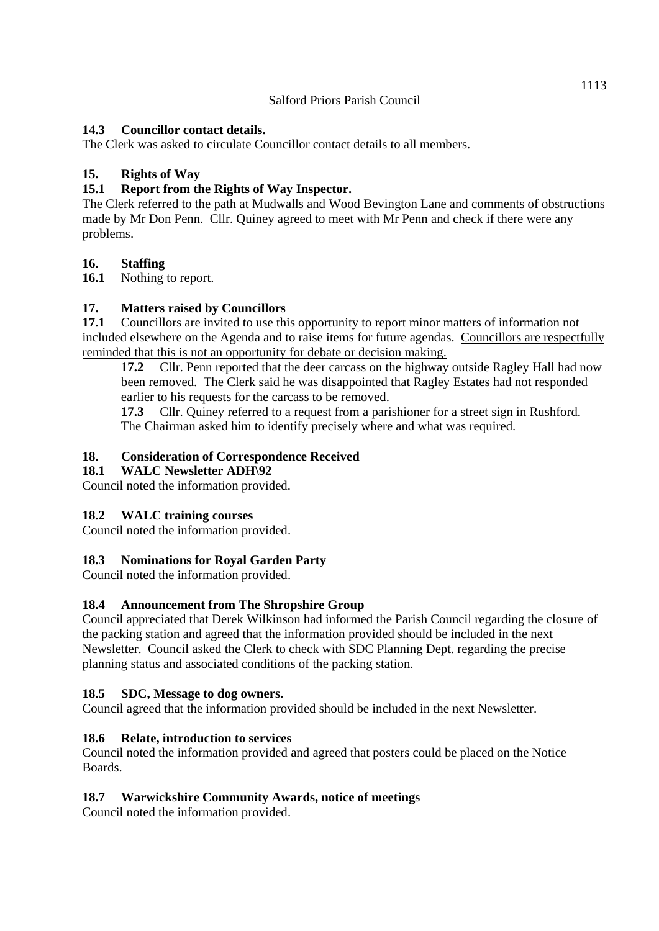### **14.3 Councillor contact details.**

The Clerk was asked to circulate Councillor contact details to all members.

### **15. Rights of Way**

### **15.1 Report from the Rights of Way Inspector.**

The Clerk referred to the path at Mudwalls and Wood Bevington Lane and comments of obstructions made by Mr Don Penn. Cllr. Quiney agreed to meet with Mr Penn and check if there were any problems.

#### **16. Staffing**

**16.1** Nothing to report.

#### **17. Matters raised by Councillors**

**17.1** Councillors are invited to use this opportunity to report minor matters of information not included elsewhere on the Agenda and to raise items for future agendas. Councillors are respectfully reminded that this is not an opportunity for debate or decision making.

**17.2** Cllr. Penn reported that the deer carcass on the highway outside Ragley Hall had now been removed. The Clerk said he was disappointed that Ragley Estates had not responded earlier to his requests for the carcass to be removed.

**17.3** Cllr. Quiney referred to a request from a parishioner for a street sign in Rushford. The Chairman asked him to identify precisely where and what was required.

#### **18. Consideration of Correspondence Received**

### **18.1 WALC Newsletter ADH\92**

Council noted the information provided.

### **18.2 WALC training courses**

Council noted the information provided.

### **18.3 Nominations for Royal Garden Party**

Council noted the information provided.

### **18.4 Announcement from The Shropshire Group**

Council appreciated that Derek Wilkinson had informed the Parish Council regarding the closure of the packing station and agreed that the information provided should be included in the next Newsletter. Council asked the Clerk to check with SDC Planning Dept. regarding the precise planning status and associated conditions of the packing station.

### **18.5 SDC, Message to dog owners.**

Council agreed that the information provided should be included in the next Newsletter.

### **18.6 Relate, introduction to services**

Council noted the information provided and agreed that posters could be placed on the Notice Boards.

### **18.7 Warwickshire Community Awards, notice of meetings**

Council noted the information provided.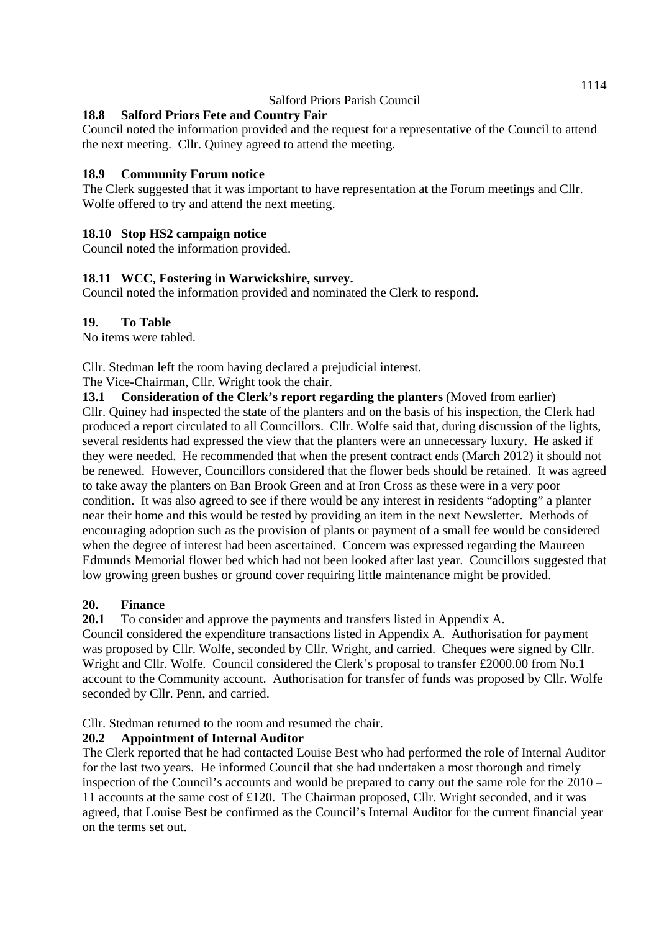## **18.8 Salford Priors Fete and Country Fair**

Council noted the information provided and the request for a representative of the Council to attend the next meeting. Cllr. Quiney agreed to attend the meeting.

### **18.9 Community Forum notice**

The Clerk suggested that it was important to have representation at the Forum meetings and Cllr. Wolfe offered to try and attend the next meeting.

## **18.10 Stop HS2 campaign notice**

Council noted the information provided.

## **18.11 WCC, Fostering in Warwickshire, survey.**

Council noted the information provided and nominated the Clerk to respond.

#### **19. To Table**

No items were tabled.

Cllr. Stedman left the room having declared a prejudicial interest.

The Vice-Chairman, Cllr. Wright took the chair.

**13.1 Consideration of the Clerk's report regarding the planters** (Moved from earlier) Cllr. Quiney had inspected the state of the planters and on the basis of his inspection, the Clerk had produced a report circulated to all Councillors. Cllr. Wolfe said that, during discussion of the lights, several residents had expressed the view that the planters were an unnecessary luxury. He asked if they were needed. He recommended that when the present contract ends (March 2012) it should not be renewed. However, Councillors considered that the flower beds should be retained. It was agreed to take away the planters on Ban Brook Green and at Iron Cross as these were in a very poor condition. It was also agreed to see if there would be any interest in residents "adopting" a planter near their home and this would be tested by providing an item in the next Newsletter. Methods of encouraging adoption such as the provision of plants or payment of a small fee would be considered when the degree of interest had been ascertained. Concern was expressed regarding the Maureen Edmunds Memorial flower bed which had not been looked after last year. Councillors suggested that low growing green bushes or ground cover requiring little maintenance might be provided.

### **20. Finance**

**20.1** To consider and approve the payments and transfers listed in Appendix A.

Council considered the expenditure transactions listed in Appendix A. Authorisation for payment was proposed by Cllr. Wolfe, seconded by Cllr. Wright, and carried. Cheques were signed by Cllr. Wright and Cllr. Wolfe. Council considered the Clerk's proposal to transfer £2000.00 from No.1 account to the Community account. Authorisation for transfer of funds was proposed by Cllr. Wolfe seconded by Cllr. Penn, and carried.

Cllr. Stedman returned to the room and resumed the chair.

### **20.2 Appointment of Internal Auditor**

The Clerk reported that he had contacted Louise Best who had performed the role of Internal Auditor for the last two years. He informed Council that she had undertaken a most thorough and timely inspection of the Council's accounts and would be prepared to carry out the same role for the 2010 – 11 accounts at the same cost of £120. The Chairman proposed, Cllr. Wright seconded, and it was agreed, that Louise Best be confirmed as the Council's Internal Auditor for the current financial year on the terms set out.